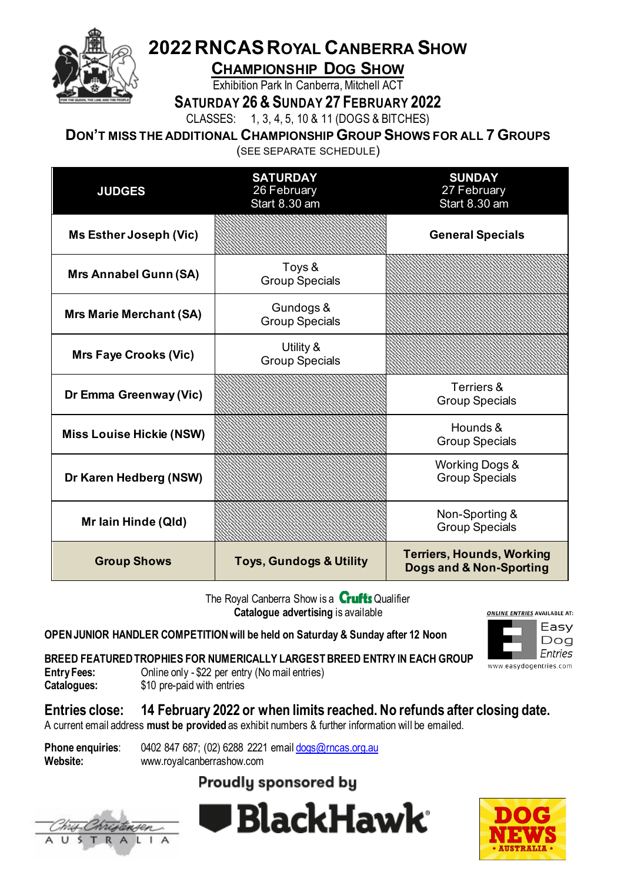

# **2022RNCASROYAL CANBERRA SHOW**

**CHAMPIONSHIP DOG SHOW**

Exhibition Park In Canberra, Mitchell ACT

**SATURDAY 26& SUNDAY 27 FEBRUARY 2022**

CLASSES: 1, 3, 4, 5, 10 & 11 (DOGS & BITCHES)

**DON'T MISS THE ADDITIONAL CHAMPIONSHIP GROUP SHOWS FOR ALL 7 GROUPS**

(SEE SEPARATE SCHEDULE)

| <b>JUDGES</b>                   | <b>SATURDAY</b><br>26 February<br>Start 8.30 am | <b>SUNDAY</b><br>27 February<br>Start 8.30 am               |
|---------------------------------|-------------------------------------------------|-------------------------------------------------------------|
| <b>Ms Esther Joseph (Vic)</b>   |                                                 | <b>General Specials</b>                                     |
| <b>Mrs Annabel Gunn (SA)</b>    | Toys &<br><b>Group Specials</b>                 |                                                             |
| <b>Mrs Marie Merchant (SA)</b>  | Gundogs &<br><b>Group Specials</b>              |                                                             |
| <b>Mrs Faye Crooks (Vic)</b>    | Utility &<br><b>Group Specials</b>              |                                                             |
| Dr Emma Greenway (Vic)          |                                                 | Terriers &<br><b>Group Specials</b>                         |
| <b>Miss Louise Hickie (NSW)</b> |                                                 | Hounds &<br><b>Group Specials</b>                           |
| Dr Karen Hedberg (NSW)          |                                                 | <b>Working Dogs &amp;</b><br><b>Group Specials</b>          |
| Mr Iain Hinde (QId)             |                                                 | Non-Sporting &<br><b>Group Specials</b>                     |
| <b>Group Shows</b>              | <b>Toys, Gundogs &amp; Utility</b>              | <b>Terriers, Hounds, Working</b><br>Dogs and & Non-Sporting |

The Royal Canberra Show is a **Crufts** Qualifier **Catalogue advertising** is available

**OPEN JUNIOR HANDLER COMPETITION will be held on Saturday & Sunday after 12 Noon**



**BREED FEATURED TROPHIES FOR NUMERICALLY LARGEST BREED ENTRY IN EACH GROUP**<br>Entry Fees: 0nline only - \$22 per entry (No mail entries)

**Entry Fees:** Online only - \$22 per entry (No mail entries)<br>**Catalogues:** \$10 pre-paid with entries

\$10 pre-paid with entries

**Entries close: 14 February 2022 or when limits reached. No refunds after closing date.**

A current email address **must be provided** as exhibit numbers & further information will be emailed.

**Phone enquiries:** 0402 847 687; (02) 6288 2221 emai[l dogs@rncas.org.au](mailto:dogs@rncas.org.au) **Website:** www.royalcanberrashow.com

## **Proudly sponsored by**